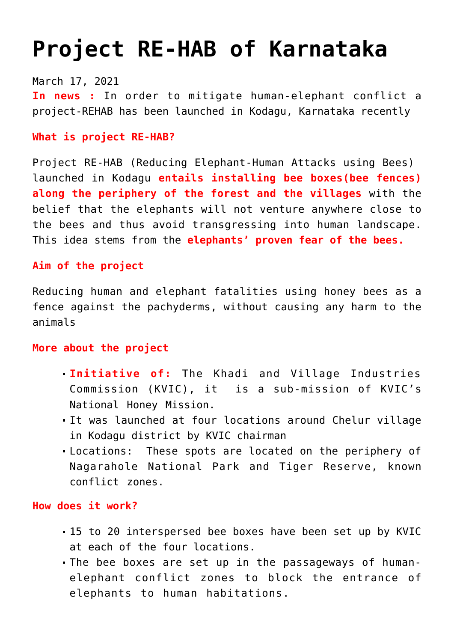# **[Project RE-HAB of Karnataka](https://journalsofindia.com/project-re-hab-of-karnataka/)**

March 17, 2021 **In news :** In order to mitigate human-elephant conflict a project-REHAB has been launched in Kodagu, Karnataka recently

### **What is project RE-HAB?**

Project RE-HAB (Reducing Elephant-Human Attacks using Bees) launched in Kodagu **entails installing bee boxes(bee fences) along the periphery of the forest and the villages** with the belief that the elephants will not venture anywhere close to the bees and thus avoid transgressing into human landscape. This idea stems from the **elephants' proven fear of the bees.**

# **Aim of the project**

Reducing human and elephant fatalities using honey bees as a fence against the pachyderms, without causing any harm to the animals

### **More about the project**

- **Initiative of:** The Khadi and Village Industries Commission (KVIC), it is a sub-mission of KVIC's National Honey Mission.
- It was launched at four locations around Chelur village in Kodagu district by KVIC chairman
- Locations: These spots are located on the periphery of Nagarahole National Park and Tiger Reserve, known conflict zones.

# **How does it work?**

- 15 to 20 interspersed bee boxes have been set up by KVIC at each of the four locations.
- The bee boxes are set up in the passageways of humanelephant conflict zones to block the entrance of elephants to human habitations.